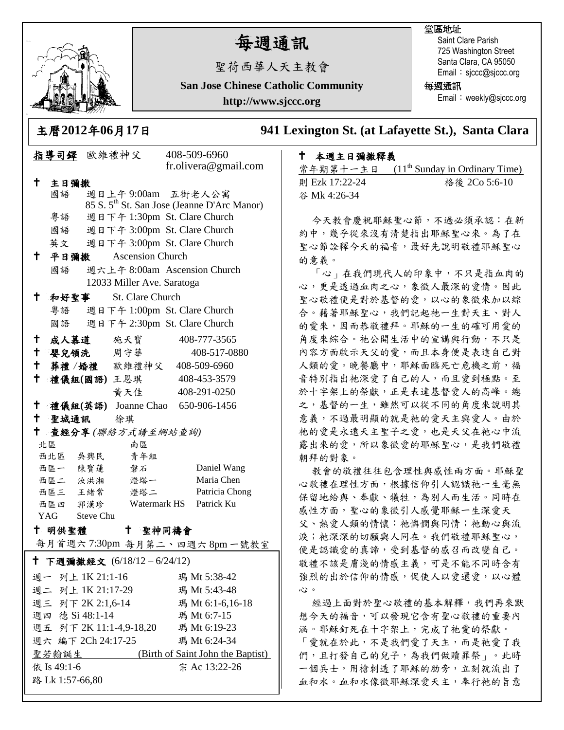

路 Lk 1:57-66,80

# 每週通訊

聖荷西華人天主教會

**San Jose Chinese Catholic Community**

**http://www.sjccc.org**

#### 堂區地址

Saint Clare Parish 725 Washington Street Santa Clara, CA 95050 Email: sjccc@sjccc.org

每週通訊

Email: weekly@sjccc.org

主曆**2012**年**06**月**17**日 **941 Lexington St. (at Lafayette St.), Santa Clara** 

### 指導司鐸 歐維禮神父 408-509-6960 fr.olivera@gmail.com 主日彌撒 國語 週日上午 9:00am 五街老人公寓 85 S. 5th St. San Jose (Jeanne D'Arc Manor) 粵語 週日下午 1:30pm St. Clare Church 國語 週日下午 3:00pm St. Clare Church 英文 週日下午 3:00pm St. Clare Church 平日彌撒 Ascension Church 國語 週六上午 8:00am Ascension Church 12033 Miller Ave. Saratoga 和好聖事 St. Clare Church 粵語 週日下午 1:00pm St. Clare Church 國語 週日下午 2:30pm St. Clare Church 成人慕道 施天寶 408-777-3565 嬰兒領洗 周守華 408-517-0880 葬禮 /婚禮 歐維禮神父 408-509-6960 禮儀組**(**國語**)** 王恩琪 408-453-3579 黃天佳 408-291-0250 禮儀組**(**英語**)** Joanne Chao 650-906-1456 聖城通訊 徐琪 查經分享 *(*聯絡方式請至網站查詢*)* 北區 南區 西北區 吳興民 青年組 西區一 陳寶蓮 磐石 Daniel Wang 西區二 汝洪湘 燈塔一 Maria Chen 西區三 王緒常 燈塔二 Patricia Chong 西區四 郭漢珍 Watermark HS Patrick Ku YAG Steve Chu 十 明供聖體 每月首週六 7:30pm 每月第二、四週六 8pm 一號教室 聖神同禱會 下週彌撒經文 (6/18/12 – 6/24/12) 依 Is 49:1-6 週一 列上 1K 21:1-16 瑪 Mt 5:38-42 週二 列上 1K 21:17-29 瑪 Mt 5:43-48 週三 列下 2K 2:1,6-14 瑪 Mt 6:1-6,16-18 週四 德 Si 48:1-14 瑪 Mt 6:7-15 週五 列下 2K 11:1-4,9-18,20 瑪 Mt 6:19-23 週六 編下 2Ch 24:17-25 瑪 Mt 6:24-34 聖若翰誕生 (Birth of Saint John the Baptist) 宗 Ac 13:22-26

## ↑ 本週主日彌撒釋義<br>\*☆≒☆↓ →→↑ (11<u>h</u>c

| 常年期第十一主日       | $(11th$ Sunday in Ordinary Time) |
|----------------|----------------------------------|
| 則 Ezk 17:22-24 | 格後 2Co 5:6-10                    |
| 谷 Mk 4:26-34   |                                  |

今天教會慶祝耶穌聖心節,不過必須承認:在新 約中,幾乎從來沒有清楚指出耶穌聖心來。為了在 聖心節詮釋今天的福音,最好先說明敬禮耶穌聖心 的意義。

「心」在我們現代人的印象中,不只是指血肉的 心,更是透過血肉之心,象徵人最深的愛情。因此 聖心敬禮便是對於基督的愛,以心的象徵來加以綜 合。藉著耶穌聖心,我們記起祂一生對天主、對人 的愛來,因而恭敬禮拜。耶穌的一生的確可用愛的 角度來綜合。祂公開生活中的宣講與行動,不只是 內容方面啟示天父的愛,而且本身便是表達自己對 人類的愛。晚餐廳中,耶穌面臨死亡危機之前,福 音特別指出祂深愛了自己的人,而且愛到極點。至 於十字架上的祭獻,正是表達基督愛人的高峰。總 之,基督的一生,雖然可以從不同的角度來說明其 意義,不過最明顯的就是祂的愛天主與愛人。由於 祂的愛是永遠天主聖子之愛,也是天父在祂心中流 露出來的愛,所以象徵愛的耶穌聖心,是我們敬禮 朝拜的對象。

教會的敬禮往往包含理性與感性兩方面。耶穌聖 心敬禮在理性方面,根據信仰引人認識祂一生毫無 保留地給與、奉獻、犧牲,為別人而生活。同時在 感性方面,聖心的象徵引人感覺耶穌一生深愛天 父、熱愛人類的情懷;祂憐憫與同情;祂動心與流 淚;祂深深的切願與人同在。我們敬禮耶穌聖心, 便是認識愛的真諦,受到基督的感召而改變自己。 敬禮不該是膚淺的情感主義,可是不能不同時含有 強烈的出於信仰的情感,促使人以愛還愛,以心體 心。

經過上面對於聖心敬禮的基本解釋,我們再來默 想今天的福音,可以發現它含有聖心敬禮的重要內 涵。耶穌釘死在十字架上,完成了祂愛的祭獻。 「愛就在於此,不是我們愛了天主,而是祂愛了我 們,且打發自己的兒子,為我們做贖罪祭」。此時 一個兵士,用槍刺透了耶穌的肋旁,立刻就流出了 血和水。血和水像徵耶穌深愛天主,奉行祂的旨意